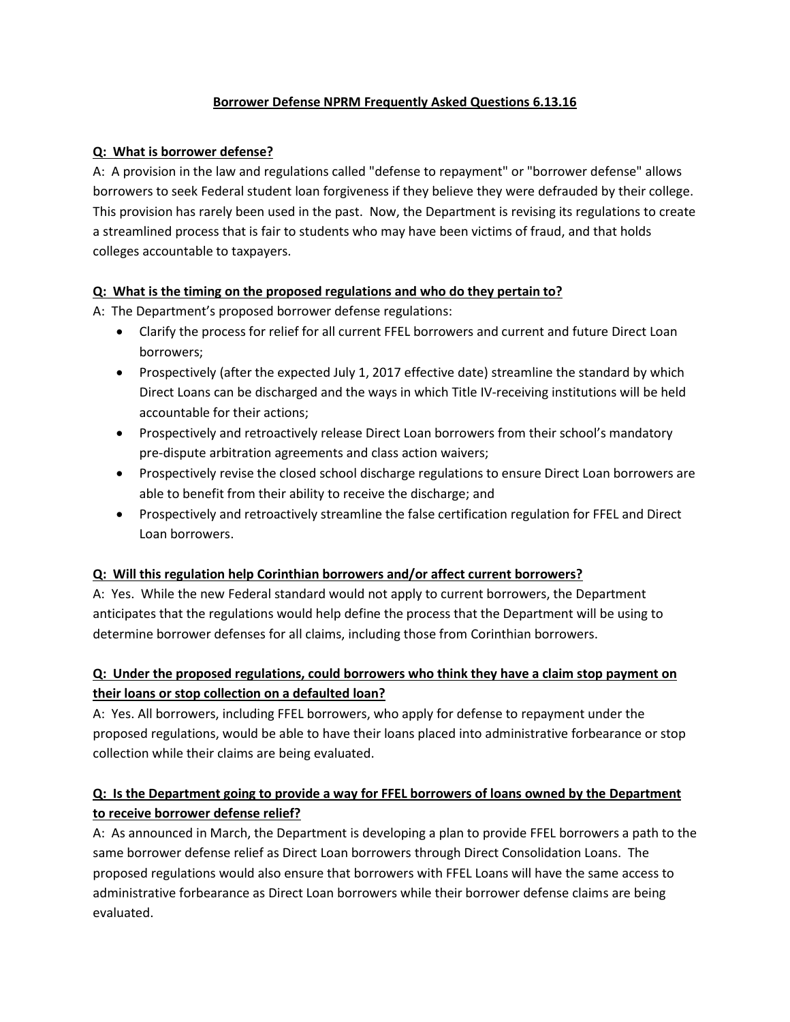### **Borrower Defense NPRM Frequently Asked Questions 6.13.16**

### **Q: What is borrower defense?**

A: A provision in the law and regulations called "defense to repayment" or "borrower defense" allows borrowers to seek Federal student loan forgiveness if they believe they were defrauded by their college. This provision has rarely been used in the past. Now, the Department is revising its regulations to create a streamlined process that is fair to students who may have been victims of fraud, and that holds colleges accountable to taxpayers.

## **Q: What is the timing on the proposed regulations and who do they pertain to?**

A: The Department's proposed borrower defense regulations:

- Clarify the process for relief for all current FFEL borrowers and current and future Direct Loan borrowers;
- Prospectively (after the expected July 1, 2017 effective date) streamline the standard by which Direct Loans can be discharged and the ways in which Title IV-receiving institutions will be held accountable for their actions;
- Prospectively and retroactively release Direct Loan borrowers from their school's mandatory pre-dispute arbitration agreements and class action waivers;
- Prospectively revise the closed school discharge regulations to ensure Direct Loan borrowers are able to benefit from their ability to receive the discharge; and
- Prospectively and retroactively streamline the false certification regulation for FFEL and Direct Loan borrowers.

### **Q: Will this regulation help Corinthian borrowers and/or affect current borrowers?**

A: Yes. While the new Federal standard would not apply to current borrowers, the Department anticipates that the regulations would help define the process that the Department will be using to determine borrower defenses for all claims, including those from Corinthian borrowers.

# **Q: Under the proposed regulations, could borrowers who think they have a claim stop payment on their loans or stop collection on a defaulted loan?**

A: Yes. All borrowers, including FFEL borrowers, who apply for defense to repayment under the proposed regulations, would be able to have their loans placed into administrative forbearance or stop collection while their claims are being evaluated.

# **Q: Is the Department going to provide a way for FFEL borrowers of loans owned by the Department to receive borrower defense relief?**

A: As announced in March, the Department is developing a plan to provide FFEL borrowers a path to the same borrower defense relief as Direct Loan borrowers through Direct Consolidation Loans. The proposed regulations would also ensure that borrowers with FFEL Loans will have the same access to administrative forbearance as Direct Loan borrowers while their borrower defense claims are being evaluated.